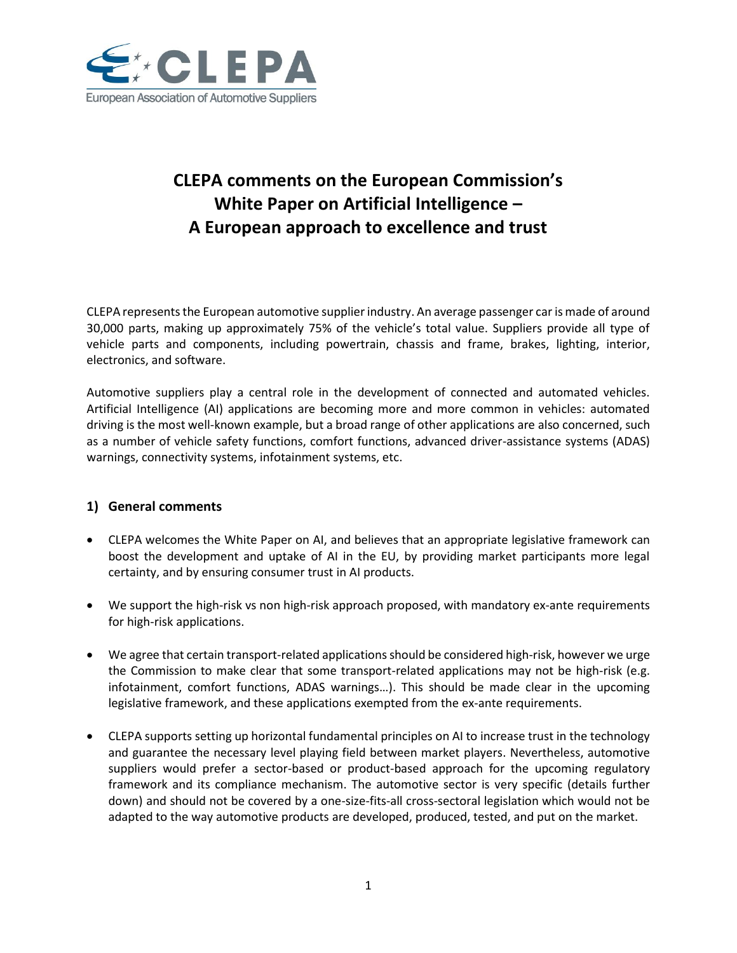

# **CLEPA comments on the European Commission's White Paper on Artificial Intelligence – A European approach to excellence and trust**

CLEPA represents the European automotive supplier industry. An average passenger car is made of around 30,000 parts, making up approximately 75% of the vehicle's total value. Suppliers provide all type of vehicle parts and components, including powertrain, chassis and frame, brakes, lighting, interior, electronics, and software.

Automotive suppliers play a central role in the development of connected and automated vehicles. Artificial Intelligence (AI) applications are becoming more and more common in vehicles: automated driving is the most well-known example, but a broad range of other applications are also concerned, such as a number of vehicle safety functions, comfort functions, advanced driver-assistance systems (ADAS) warnings, connectivity systems, infotainment systems, etc.

# **1) General comments**

- CLEPA welcomes the White Paper on AI, and believes that an appropriate legislative framework can boost the development and uptake of AI in the EU, by providing market participants more legal certainty, and by ensuring consumer trust in AI products.
- We support the high-risk vs non high-risk approach proposed, with mandatory ex-ante requirements for high-risk applications.
- We agree that certain transport-related applications should be considered high-risk, however we urge the Commission to make clear that some transport-related applications may not be high-risk (e.g. infotainment, comfort functions, ADAS warnings…). This should be made clear in the upcoming legislative framework, and these applications exempted from the ex-ante requirements.
- CLEPA supports setting up horizontal fundamental principles on AI to increase trust in the technology and guarantee the necessary level playing field between market players. Nevertheless, automotive suppliers would prefer a sector-based or product-based approach for the upcoming regulatory framework and its compliance mechanism. The automotive sector is very specific (details further down) and should not be covered by a one-size-fits-all cross-sectoral legislation which would not be adapted to the way automotive products are developed, produced, tested, and put on the market.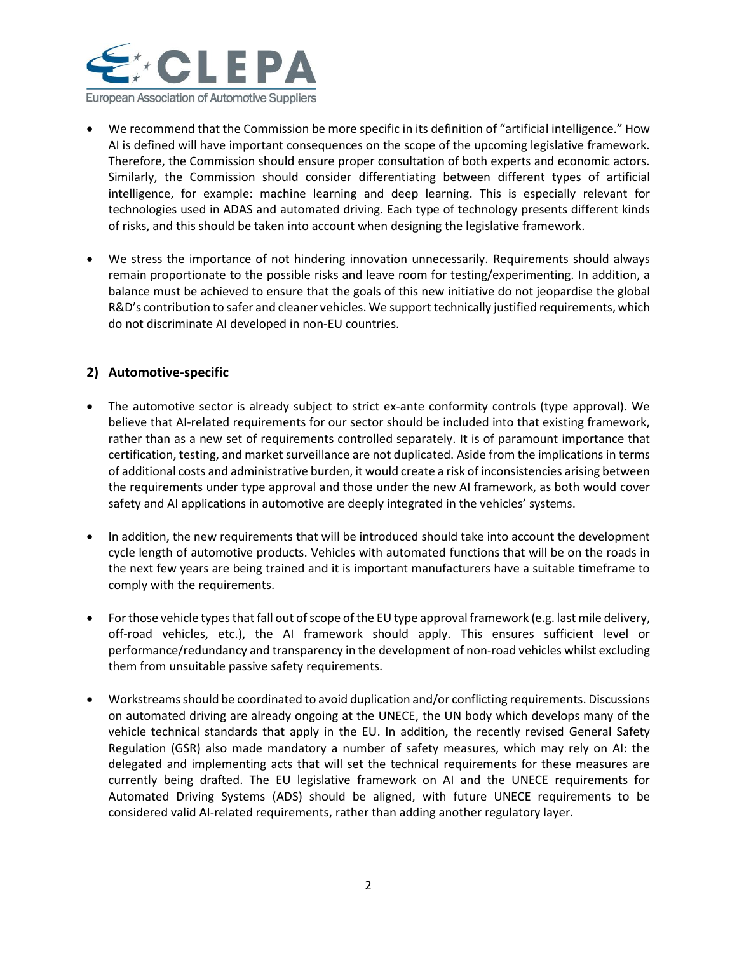

- We recommend that the Commission be more specific in its definition of "artificial intelligence." How AI is defined will have important consequences on the scope of the upcoming legislative framework. Therefore, the Commission should ensure proper consultation of both experts and economic actors. Similarly, the Commission should consider differentiating between different types of artificial intelligence, for example: machine learning and deep learning. This is especially relevant for technologies used in ADAS and automated driving. Each type of technology presents different kinds of risks, and this should be taken into account when designing the legislative framework.
- We stress the importance of not hindering innovation unnecessarily. Requirements should always remain proportionate to the possible risks and leave room for testing/experimenting. In addition, a balance must be achieved to ensure that the goals of this new initiative do not jeopardise the global R&D's contribution to safer and cleaner vehicles. We support technically justified requirements, which do not discriminate AI developed in non-EU countries.

# **2) Automotive-specific**

- The automotive sector is already subject to strict ex-ante conformity controls (type approval). We believe that AI-related requirements for our sector should be included into that existing framework, rather than as a new set of requirements controlled separately. It is of paramount importance that certification, testing, and market surveillance are not duplicated. Aside from the implications in terms of additional costs and administrative burden, it would create a risk of inconsistencies arising between the requirements under type approval and those under the new AI framework, as both would cover safety and AI applications in automotive are deeply integrated in the vehicles' systems.
- In addition, the new requirements that will be introduced should take into account the development cycle length of automotive products. Vehicles with automated functions that will be on the roads in the next few years are being trained and it is important manufacturers have a suitable timeframe to comply with the requirements.
- For those vehicle types that fall out of scope of the EU type approval framework (e.g. last mile delivery, off-road vehicles, etc.), the AI framework should apply. This ensures sufficient level or performance/redundancy and transparency in the development of non-road vehicles whilst excluding them from unsuitable passive safety requirements.
- Workstreams should be coordinated to avoid duplication and/or conflicting requirements. Discussions on automated driving are already ongoing at the UNECE, the UN body which develops many of the vehicle technical standards that apply in the EU. In addition, the recently revised General Safety Regulation (GSR) also made mandatory a number of safety measures, which may rely on AI: the delegated and implementing acts that will set the technical requirements for these measures are currently being drafted. The EU legislative framework on AI and the UNECE requirements for Automated Driving Systems (ADS) should be aligned, with future UNECE requirements to be considered valid AI-related requirements, rather than adding another regulatory layer.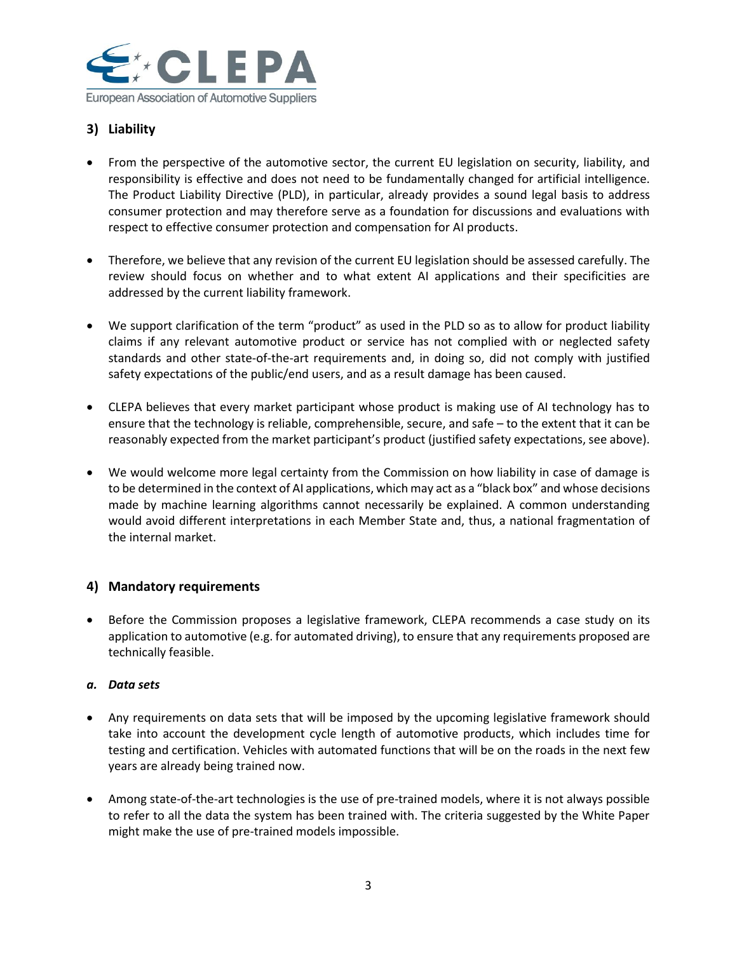

# **3) Liability**

- From the perspective of the automotive sector, the current EU legislation on security, liability, and responsibility is effective and does not need to be fundamentally changed for artificial intelligence. The Product Liability Directive (PLD), in particular, already provides a sound legal basis to address consumer protection and may therefore serve as a foundation for discussions and evaluations with respect to effective consumer protection and compensation for AI products.
- Therefore, we believe that any revision of the current EU legislation should be assessed carefully. The review should focus on whether and to what extent AI applications and their specificities are addressed by the current liability framework.
- We support clarification of the term "product" as used in the PLD so as to allow for product liability claims if any relevant automotive product or service has not complied with or neglected safety standards and other state-of-the-art requirements and, in doing so, did not comply with justified safety expectations of the public/end users, and as a result damage has been caused.
- CLEPA believes that every market participant whose product is making use of AI technology has to ensure that the technology is reliable, comprehensible, secure, and safe – to the extent that it can be reasonably expected from the market participant's product (justified safety expectations, see above).
- We would welcome more legal certainty from the Commission on how liability in case of damage is to be determined in the context of AI applications, which may act as a "black box" and whose decisions made by machine learning algorithms cannot necessarily be explained. A common understanding would avoid different interpretations in each Member State and, thus, a national fragmentation of the internal market.

# **4) Mandatory requirements**

• Before the Commission proposes a legislative framework, CLEPA recommends a case study on its application to automotive (e.g. for automated driving), to ensure that any requirements proposed are technically feasible.

#### *a. Data sets*

- Any requirements on data sets that will be imposed by the upcoming legislative framework should take into account the development cycle length of automotive products, which includes time for testing and certification. Vehicles with automated functions that will be on the roads in the next few years are already being trained now.
- Among state-of-the-art technologies is the use of pre-trained models, where it is not always possible to refer to all the data the system has been trained with. The criteria suggested by the White Paper might make the use of pre-trained models impossible.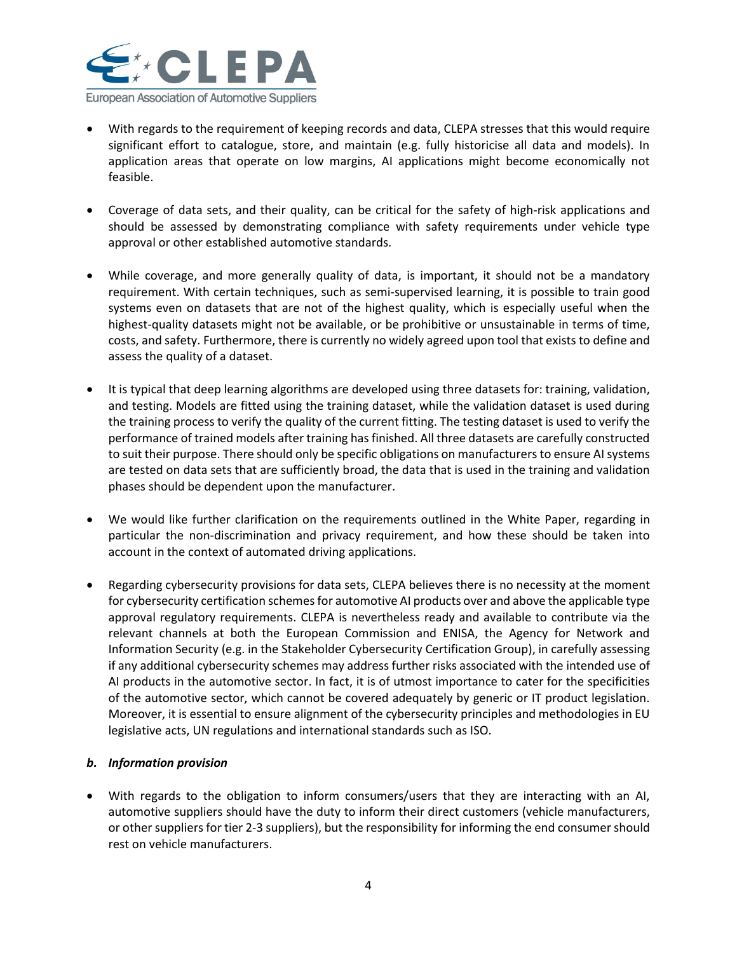

- With regards to the requirement of keeping records and data, CLEPA stresses that this would require significant effort to catalogue, store, and maintain (e.g. fully historicise all data and models). In application areas that operate on low margins, AI applications might become economically not feasible.
- Coverage of data sets, and their quality, can be critical for the safety of high-risk applications and should be assessed by demonstrating compliance with safety requirements under vehicle type approval or other established automotive standards.
- While coverage, and more generally quality of data, is important, it should not be a mandatory requirement. With certain techniques, such as semi-supervised learning, it is possible to train good systems even on datasets that are not of the highest quality, which is especially useful when the highest-quality datasets might not be available, or be prohibitive or unsustainable in terms of time, costs, and safety. Furthermore, there is currently no widely agreed upon tool that exists to define and assess the quality of a dataset.
- It is typical that deep learning algorithms are developed using three datasets for: training, validation, and testing. Models are fitted using the training dataset, while the validation dataset is used during the training process to verify the quality of the current fitting. The testing dataset is used to verify the performance of trained models after training has finished. All three datasets are carefully constructed to suit their purpose. There should only be specific obligations on manufacturers to ensure AI systems are tested on data sets that are sufficiently broad, the data that is used in the training and validation phases should be dependent upon the manufacturer.
- We would like further clarification on the requirements outlined in the White Paper, regarding in particular the non-discrimination and privacy requirement, and how these should be taken into account in the context of automated driving applications.
- Regarding cybersecurity provisions for data sets, CLEPA believes there is no necessity at the moment for cybersecurity certification schemes for automotive AI products over and above the applicable type approval regulatory requirements. CLEPA is nevertheless ready and available to contribute via the relevant channels at both the European Commission and ENISA, the Agency for Network and Information Security (e.g. in the Stakeholder Cybersecurity Certification Group), in carefully assessing if any additional cybersecurity schemes may address further risks associated with the intended use of AI products in the automotive sector. In fact, it is of utmost importance to cater for the specificities of the automotive sector, which cannot be covered adequately by generic or IT product legislation. Moreover, it is essential to ensure alignment of the cybersecurity principles and methodologies in EU legislative acts, UN regulations and international standards such as ISO.

#### *b. Information provision*

• With regards to the obligation to inform consumers/users that they are interacting with an AI, automotive suppliers should have the duty to inform their direct customers (vehicle manufacturers, or other suppliers for tier 2-3 suppliers), but the responsibility for informing the end consumer should rest on vehicle manufacturers.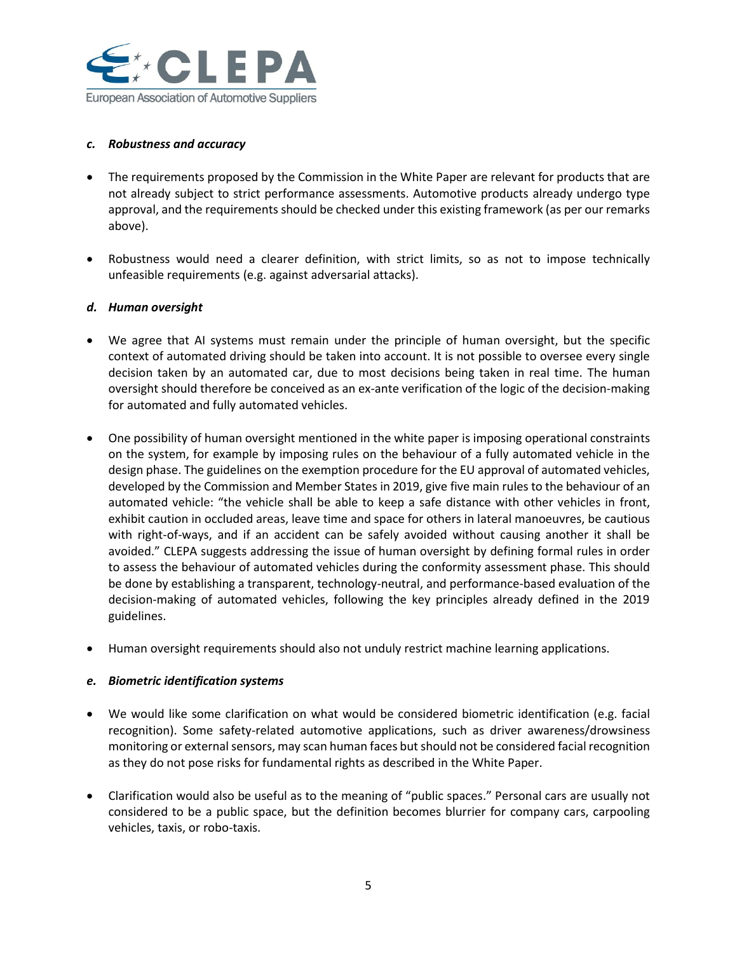

#### *c. Robustness and accuracy*

- The requirements proposed by the Commission in the White Paper are relevant for products that are not already subject to strict performance assessments. Automotive products already undergo type approval, and the requirements should be checked under this existing framework (as per our remarks above).
- Robustness would need a clearer definition, with strict limits, so as not to impose technically unfeasible requirements (e.g. against adversarial attacks).

#### *d. Human oversight*

- We agree that AI systems must remain under the principle of human oversight, but the specific context of automated driving should be taken into account. It is not possible to oversee every single decision taken by an automated car, due to most decisions being taken in real time. The human oversight should therefore be conceived as an ex-ante verification of the logic of the decision-making for automated and fully automated vehicles.
- One possibility of human oversight mentioned in the white paper is imposing operational constraints on the system, for example by imposing rules on the behaviour of a fully automated vehicle in the design phase. The guidelines on the exemption procedure for the EU approval of automated vehicles, developed by the Commission and Member States in 2019, give five main rules to the behaviour of an automated vehicle: "the vehicle shall be able to keep a safe distance with other vehicles in front, exhibit caution in occluded areas, leave time and space for others in lateral manoeuvres, be cautious with right-of-ways, and if an accident can be safely avoided without causing another it shall be avoided." CLEPA suggests addressing the issue of human oversight by defining formal rules in order to assess the behaviour of automated vehicles during the conformity assessment phase. This should be done by establishing a transparent, technology-neutral, and performance-based evaluation of the decision-making of automated vehicles, following the key principles already defined in the 2019 guidelines.
- Human oversight requirements should also not unduly restrict machine learning applications.

#### *e. Biometric identification systems*

- We would like some clarification on what would be considered biometric identification (e.g. facial recognition). Some safety-related automotive applications, such as driver awareness/drowsiness monitoring or external sensors, may scan human faces but should not be considered facial recognition as they do not pose risks for fundamental rights as described in the White Paper.
- Clarification would also be useful as to the meaning of "public spaces." Personal cars are usually not considered to be a public space, but the definition becomes blurrier for company cars, carpooling vehicles, taxis, or robo-taxis.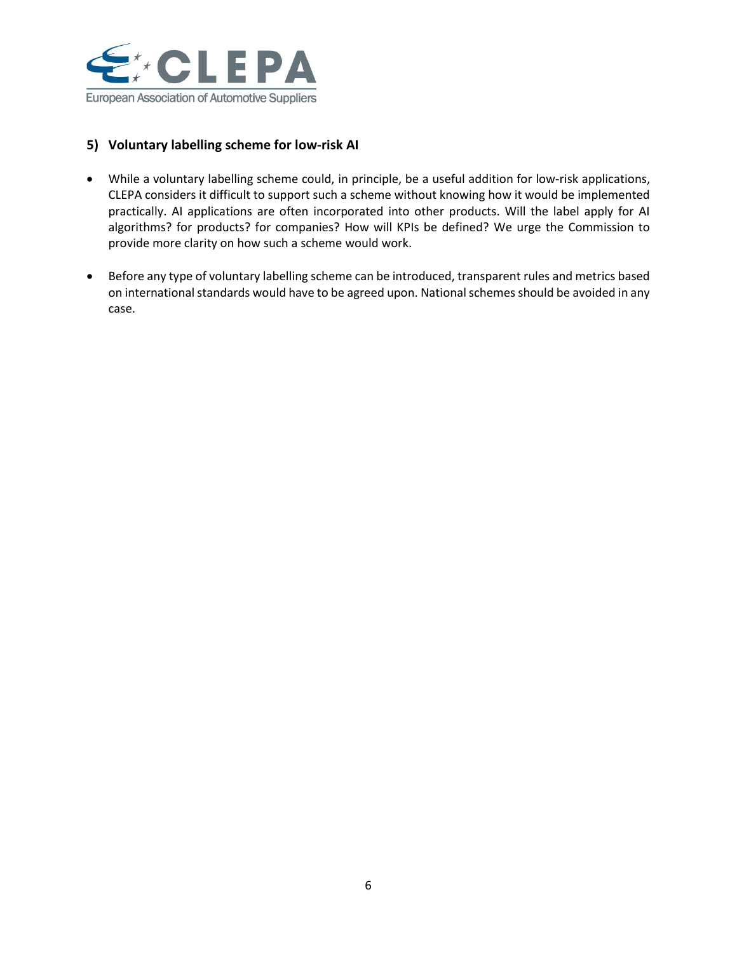

# **5) Voluntary labelling scheme for low-risk AI**

- While a voluntary labelling scheme could, in principle, be a useful addition for low-risk applications, CLEPA considers it difficult to support such a scheme without knowing how it would be implemented practically. AI applications are often incorporated into other products. Will the label apply for AI algorithms? for products? for companies? How will KPIs be defined? We urge the Commission to provide more clarity on how such a scheme would work.
- Before any type of voluntary labelling scheme can be introduced, transparent rules and metrics based on international standards would have to be agreed upon. National schemes should be avoided in any case.